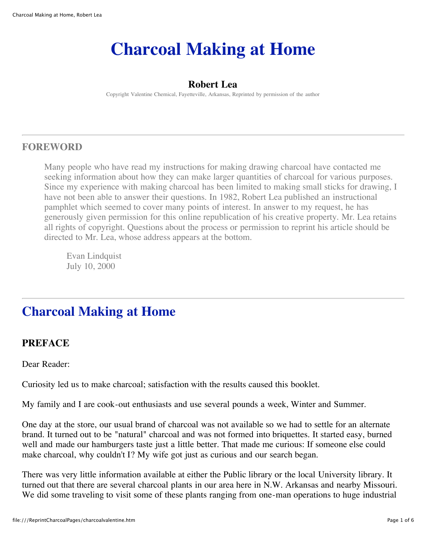# **Charcoal Making at Home**

# **Robert Lea**

Copyright Valentine Chemical, Fayetteville, Arkansas, Reprinted by permission of the author

# **FOREWORD**

Many people who have read my instructions for making drawing charcoal have contacted me seeking information about how they can make larger quantities of charcoal for various purposes. Since my experience with making charcoal has been limited to making small sticks for drawing, I have not been able to answer their questions. In 1982, Robert Lea published an instructional pamphlet which seemed to cover many points of interest. In answer to my request, he has generously given permission for this online republication of his creative property. Mr. Lea retains all rights of copyright. Questions about the process or permission to reprint his article should be directed to Mr. Lea, whose address appears at the bottom.

Evan Lindquist July 10, 2000

# **Charcoal Making at Home**

# **PREFACE**

Dear Reader:

Curiosity led us to make charcoal; satisfaction with the results caused this booklet.

My family and I are cook-out enthusiasts and use several pounds a week, Winter and Summer.

One day at the store, our usual brand of charcoal was not available so we had to settle for an alternate brand. It turned out to be "natural" charcoal and was not formed into briquettes. It started easy, burned well and made our hamburgers taste just a little better. That made me curious: If someone else could make charcoal, why couldn't I? My wife got just as curious and our search began.

There was very little information available at either the Public library or the local University library. It turned out that there are several charcoal plants in our area here in N.W. Arkansas and nearby Missouri. We did some traveling to visit some of these plants ranging from one-man operations to huge industrial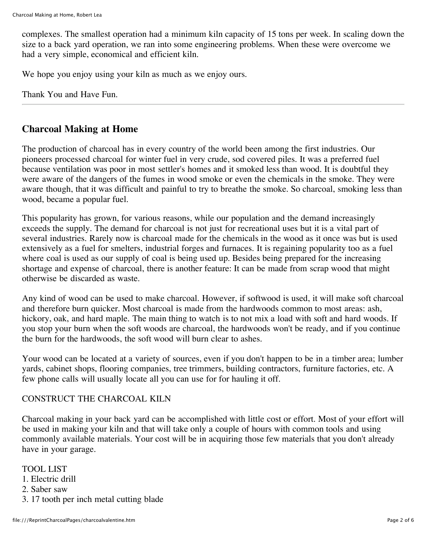complexes. The smallest operation had a minimum kiln capacity of 15 tons per week. In scaling down the size to a back yard operation, we ran into some engineering problems. When these were overcome we had a very simple, economical and efficient kiln.

We hope you enjoy using your kiln as much as we enjoy ours.

Thank You and Have Fun.

# **Charcoal Making at Home**

The production of charcoal has in every country of the world been among the first industries. Our pioneers processed charcoal for winter fuel in very crude, sod covered piles. It was a preferred fuel because ventilation was poor in most settler's homes and it smoked less than wood. It is doubtful they were aware of the dangers of the fumes in wood smoke or even the chemicals in the smoke. They were aware though, that it was difficult and painful to try to breathe the smoke. So charcoal, smoking less than wood, became a popular fuel.

This popularity has grown, for various reasons, while our population and the demand increasingly exceeds the supply. The demand for charcoal is not just for recreational uses but it is a vital part of several industries. Rarely now is charcoal made for the chemicals in the wood as it once was but is used extensively as a fuel for smelters, industrial forges and furnaces. It is regaining popularity too as a fuel where coal is used as our supply of coal is being used up. Besides being prepared for the increasing shortage and expense of charcoal, there is another feature: It can be made from scrap wood that might otherwise be discarded as waste.

Any kind of wood can be used to make charcoal. However, if softwood is used, it will make soft charcoal and therefore burn quicker. Most charcoal is made from the hardwoods common to most areas: ash, hickory, oak, and hard maple. The main thing to watch is to not mix a load with soft and hard woods. If you stop your burn when the soft woods are charcoal, the hardwoods won't be ready, and if you continue the burn for the hardwoods, the soft wood will burn clear to ashes.

Your wood can be located at a variety of sources, even if you don't happen to be in a timber area; lumber yards, cabinet shops, flooring companies, tree trimmers, building contractors, furniture factories, etc. A few phone calls will usually locate all you can use for for hauling it off.

#### CONSTRUCT THE CHARCOAL KILN

Charcoal making in your back yard can be accomplished with little cost or effort. Most of your effort will be used in making your kiln and that will take only a couple of hours with common tools and using commonly available materials. Your cost will be in acquiring those few materials that you don't already have in your garage.

TOOL LIST 1. Electric drill 2. Saber saw 3. 17 tooth per inch metal cutting blade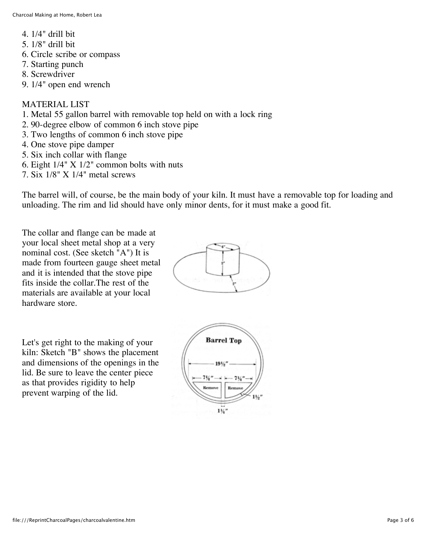4. 1/4" drill bit 5. 1/8" drill bit 6. Circle scribe or compass 7. Starting punch 8. Screwdriver 9. 1/4" open end wrench

# MATERIAL LIST

- 1. Metal 55 gallon barrel with removable top held on with a lock ring
- 2. 90-degree elbow of common 6 inch stove pipe
- 3. Two lengths of common 6 inch stove pipe
- 4. One stove pipe damper
- 5. Six inch collar with flange
- 6. Eight 1/4" X 1/2" common bolts with nuts
- 7. Six 1/8" X 1/4" metal screws

The barrel will, of course, be the main body of your kiln. It must have a removable top for loading and unloading. The rim and lid should have only minor dents, for it must make a good fit.

The collar and flange can be made at your local sheet metal shop at a very nominal cost. (See sketch "A") It is made from fourteen gauge sheet metal and it is intended that the stove pipe fits inside the collar.The rest of the materials are available at your local hardware store.

Let's get right to the making of your kiln: Sketch "B" shows the placement and dimensions of the openings in the lid. Be sure to leave the center piece as that provides rigidity to help prevent warping of the lid.



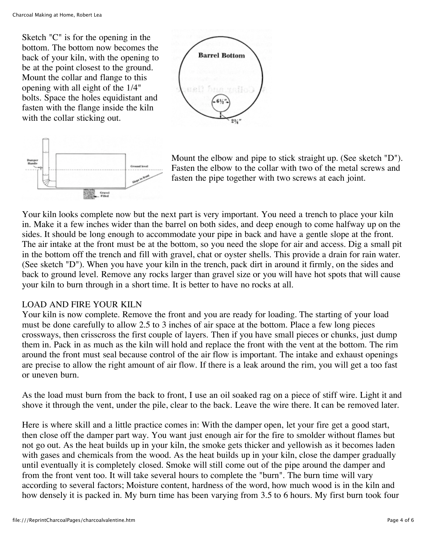Sketch "C" is for the opening in the bottom. The bottom now becomes the back of your kiln, with the opening to be at the point closest to the ground. Mount the collar and flange to this opening with all eight of the 1/4" bolts. Space the holes equidistant and fasten with the flange inside the kiln with the collar sticking out.





Mount the elbow and pipe to stick straight up. (See sketch "D"). Fasten the elbow to the collar with two of the metal screws and fasten the pipe together with two screws at each joint.

Your kiln looks complete now but the next part is very important. You need a trench to place your kiln in. Make it a few inches wider than the barrel on both sides, and deep enough to come halfway up on the sides. It should be long enough to accommodate your pipe in back and have a gentle slope at the front. The air intake at the front must be at the bottom, so you need the slope for air and access. Dig a small pit in the bottom off the trench and fill with gravel, chat or oyster shells. This provide a drain for rain water. (See sketch "D"). When you have your kiln in the trench, pack dirt in around it firmly, on the sides and back to ground level. Remove any rocks larger than gravel size or you will have hot spots that will cause your kiln to burn through in a short time. It is better to have no rocks at all.

# LOAD AND FIRE YOUR KILN

Your kiln is now complete. Remove the front and you are ready for loading. The starting of your load must be done carefully to allow 2.5 to 3 inches of air space at the bottom. Place a few long pieces crossways, then crisscross the first couple of layers. Then if you have small pieces or chunks, just dump them in. Pack in as much as the kiln will hold and replace the front with the vent at the bottom. The rim around the front must seal because control of the air flow is important. The intake and exhaust openings are precise to allow the right amount of air flow. If there is a leak around the rim, you will get a too fast or uneven burn.

As the load must burn from the back to front, I use an oil soaked rag on a piece of stiff wire. Light it and shove it through the vent, under the pile, clear to the back. Leave the wire there. It can be removed later.

Here is where skill and a little practice comes in: With the damper open, let your fire get a good start, then close off the damper part way. You want just enough air for the fire to smolder without flames but not go out. As the heat builds up in your kiln, the smoke gets thicker and yellowish as it becomes laden with gases and chemicals from the wood. As the heat builds up in your kiln, close the damper gradually until eventually it is completely closed. Smoke will still come out of the pipe around the damper and from the front vent too. It will take several hours to complete the "burn". The burn time will vary according to several factors; Moisture content, hardness of the word, how much wood is in the kiln and how densely it is packed in. My burn time has been varying from 3.5 to 6 hours. My first burn took four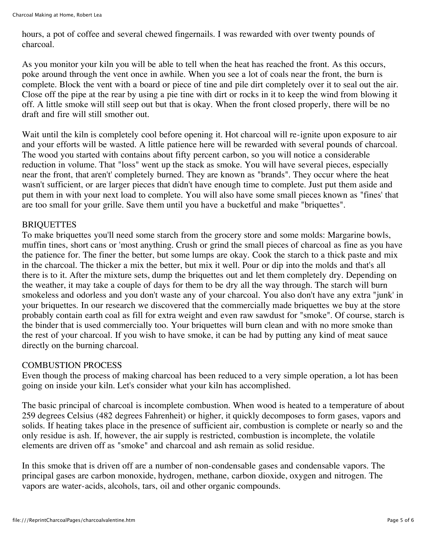hours, a pot of coffee and several chewed fingernails. I was rewarded with over twenty pounds of charcoal.

As you monitor your kiln you will be able to tell when the heat has reached the front. As this occurs, poke around through the vent once in awhile. When you see a lot of coals near the front, the burn is complete. Block the vent with a board or piece of tine and pile dirt completely over it to seal out the air. Close off the pipe at the rear by using a pie tine with dirt or rocks in it to keep the wind from blowing it off. A little smoke will still seep out but that is okay. When the front closed properly, there will be no draft and fire will still smother out.

Wait until the kiln is completely cool before opening it. Hot charcoal will re-ignite upon exposure to air and your efforts will be wasted. A little patience here will be rewarded with several pounds of charcoal. The wood you started with contains about fifty percent carbon, so you will notice a considerable reduction in volume. That "loss" went up the stack as smoke. You will have several pieces, especially near the front, that aren't' completely burned. They are known as "brands". They occur where the heat wasn't sufficient, or are larger pieces that didn't have enough time to complete. Just put them aside and put them in with your next load to complete. You will also have some small pieces known as "fines' that are too small for your grille. Save them until you have a bucketful and make "briquettes".

# BRIQUETTES

To make briquettes you'll need some starch from the grocery store and some molds: Margarine bowls, muffin tines, short cans or 'most anything. Crush or grind the small pieces of charcoal as fine as you have the patience for. The finer the better, but some lumps are okay. Cook the starch to a thick paste and mix in the charcoal. The thicker a mix the better, but mix it well. Pour or dip into the molds and that's all there is to it. After the mixture sets, dump the briquettes out and let them completely dry. Depending on the weather, it may take a couple of days for them to be dry all the way through. The starch will burn smokeless and odorless and you don't waste any of your charcoal. You also don't have any extra "junk' in your briquettes. In our research we discovered that the commercially made briquettes we buy at the store probably contain earth coal as fill for extra weight and even raw sawdust for "smoke". Of course, starch is the binder that is used commercially too. Your briquettes will burn clean and with no more smoke than the rest of your charcoal. If you wish to have smoke, it can be had by putting any kind of meat sauce directly on the burning charcoal.

#### COMBUSTION PROCESS

Even though the process of making charcoal has been reduced to a very simple operation, a lot has been going on inside your kiln. Let's consider what your kiln has accomplished.

The basic principal of charcoal is incomplete combustion. When wood is heated to a temperature of about 259 degrees Celsius (482 degrees Fahrenheit) or higher, it quickly decomposes to form gases, vapors and solids. If heating takes place in the presence of sufficient air, combustion is complete or nearly so and the only residue is ash. If, however, the air supply is restricted, combustion is incomplete, the volatile elements are driven off as "smoke" and charcoal and ash remain as solid residue.

In this smoke that is driven off are a number of non-condensable gases and condensable vapors. The principal gases are carbon monoxide, hydrogen, methane, carbon dioxide, oxygen and nitrogen. The vapors are water-acids, alcohols, tars, oil and other organic compounds.